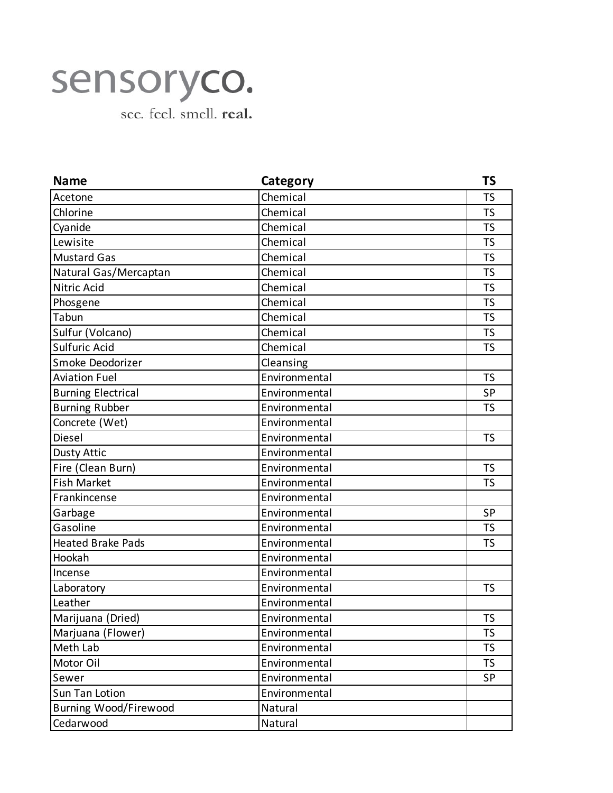## sensoryco.

see. feel. smell. real.

| <b>Name</b>               | Category      | <b>TS</b> |
|---------------------------|---------------|-----------|
| Acetone                   | Chemical      | <b>TS</b> |
| Chlorine                  | Chemical      | <b>TS</b> |
| Cyanide                   | Chemical      | <b>TS</b> |
| Lewisite                  | Chemical      | TS        |
| <b>Mustard Gas</b>        | Chemical      | <b>TS</b> |
| Natural Gas/Mercaptan     | Chemical      | <b>TS</b> |
| Nitric Acid               | Chemical      | <b>TS</b> |
| Phosgene                  | Chemical      | TS        |
| Tabun                     | Chemical      | <b>TS</b> |
| Sulfur (Volcano)          | Chemical      | <b>TS</b> |
| Sulfuric Acid             | Chemical      | <b>TS</b> |
| Smoke Deodorizer          | Cleansing     |           |
| <b>Aviation Fuel</b>      | Environmental | <b>TS</b> |
| <b>Burning Electrical</b> | Environmental | SP        |
| <b>Burning Rubber</b>     | Environmental | <b>TS</b> |
| Concrete (Wet)            | Environmental |           |
| Diesel                    | Environmental | <b>TS</b> |
| Dusty Attic               | Environmental |           |
| Fire (Clean Burn)         | Environmental | <b>TS</b> |
| <b>Fish Market</b>        | Environmental | <b>TS</b> |
| Frankincense              | Environmental |           |
| Garbage                   | Environmental | <b>SP</b> |
| Gasoline                  | Environmental | <b>TS</b> |
| <b>Heated Brake Pads</b>  | Environmental | <b>TS</b> |
| Hookah                    | Environmental |           |
| Incense                   | Environmental |           |
| Laboratory                | Environmental | <b>TS</b> |
| Leather                   | Environmental |           |
| Marijuana (Dried)         | Environmental | <b>TS</b> |
| Marjuana (Flower)         | Environmental | <b>TS</b> |
| Meth Lab                  | Environmental | <b>TS</b> |
| Motor Oil                 | Environmental | <b>TS</b> |
| Sewer                     | Environmental | SP        |
| Sun Tan Lotion            | Environmental |           |
| Burning Wood/Firewood     | Natural       |           |
| Cedarwood                 | Natural       |           |